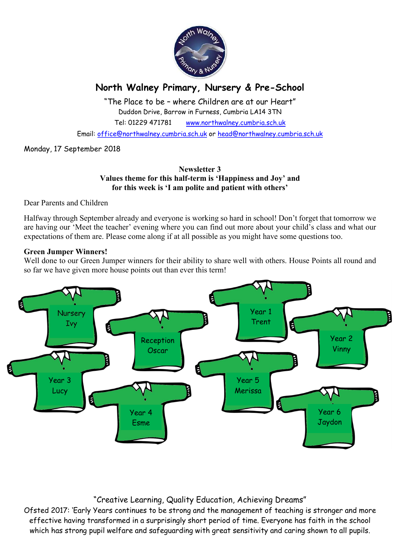

# North Walney Primary, Nursery & Pre-School

"The Place to be – where Children are at our Heart" Duddon Drive, Barrow in Furness, Cumbria LA14 3TN Tel: 01229 471781 www.northwalney.cumbria.sch.uk

Email: office@northwalney.cumbria.sch.uk or head@northwalney.cumbria.sch.uk

Monday, 17 September 2018

### Newsletter 3 Values theme for this half-term is 'Happiness and Joy' and for this week is 'I am polite and patient with others'

Dear Parents and Children

Halfway through September already and everyone is working so hard in school! Don't forget that tomorrow we are having our 'Meet the teacher' evening where you can find out more about your child's class and what our expectations of them are. Please come along if at all possible as you might have some questions too.

#### Green Jumper Winners!

Well done to our Green Jumper winners for their ability to share well with others. House Points all round and so far we have given more house points out than ever this term!



# "Creative Learning, Quality Education, Achieving Dreams"

Ofsted 2017: 'Early Years continues to be strong and the management of teaching is stronger and more effective having transformed in a surprisingly short period of time. Everyone has faith in the school which has strong pupil welfare and safeguarding with great sensitivity and caring shown to all pupils.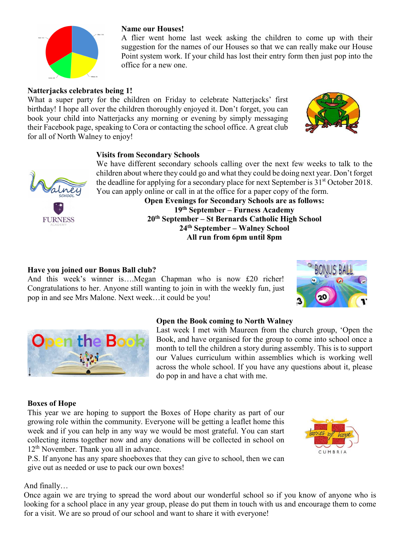# Natterjacks celebrates being 1!

What a super party for the children on Friday to celebrate Natterjacks' first birthday! I hope all over the children thoroughly enjoyed it. Don't forget, you can book your child into Natterjacks any morning or evening by simply messaging their Facebook page, speaking to Cora or contacting the school office. A great club for all of North Walney to enjoy!

### Visits from Secondary Schools

We have different secondary schools calling over the next few weeks to talk to the children about where they could go and what they could be doing next year. Don't forget the deadline for applying for a secondary place for next September is  $31<sup>st</sup>$  October 2018. You can apply online or call in at the office for a paper copy of the form.

Open Evenings for Secondary Schools are as follows: 19th September – Furness Academy 20th September – St Bernards Catholic High School 24th September – Walney School All run from 6pm until 8pm

### Have you joined our Bonus Ball club?

And this week's winner is….Megan Chapman who is now £20 richer! Congratulations to her. Anyone still wanting to join in with the weekly fun, just pop in and see Mrs Malone. Next week…it could be you!

#### Open the Book coming to North Walney

Last week I met with Maureen from the church group, 'Open the Book, and have organised for the group to come into school once a month to tell the children a story during assembly. This is to support our Values curriculum within assemblies which is working well across the whole school. If you have any questions about it, please do pop in and have a chat with me.

#### Boxes of Hope

This year we are hoping to support the Boxes of Hope charity as part of our growing role within the community. Everyone will be getting a leaflet home this week and if you can help in any way we would be most grateful. You can start collecting items together now and any donations will be collected in school on 12<sup>th</sup> November. Thank you all in advance.

P.S. If anyone has any spare shoeboxes that they can give to school, then we can give out as needed or use to pack our own boxes!

## And finally…

Once again we are trying to spread the word about our wonderful school so if you know of anyone who is looking for a school place in any year group, please do put them in touch with us and encourage them to come for a visit. We are so proud of our school and want to share it with everyone!











A flier went home last week asking the children to come up with their suggestion for the names of our Houses so that we can really make our House Point system work. If your child has lost their entry form then just pop into the office for a new one.